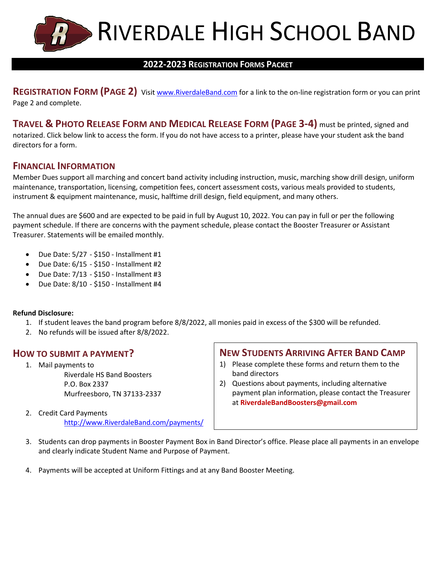

## **2022-2023 REGISTRATION FORMS PACKET**

**REGISTRATION FORM (PAGE 2)** Visit [www.RiverdaleBand.com](http://www.riverdaleband.com/) for a link to the on-line registration form or you can print Page 2 and complete.

**TRAVEL & PHOTO RELEASE FORM AND MEDICAL RELEASE FORM (PAGE 3-4)** must be printed, signed and notarized. Click below link to access the form. If you do not have access to a printer, please have your student ask the band directors for a form.

## **FINANCIAL INFORMATION**

Member Dues support all marching and concert band activity including instruction, music, marching show drill design, uniform maintenance, transportation, licensing, competition fees, concert assessment costs, various meals provided to students, instrument & equipment maintenance, music, halftime drill design, field equipment, and many others.

The annual dues are \$600 and are expected to be paid in full by August 10, 2022. You can pay in full or per the following payment schedule. If there are concerns with the payment schedule, please contact the Booster Treasurer or Assistant Treasurer. Statements will be emailed monthly.

- Due Date:  $5/27 $150 -$  Installment #1
- $\bullet$  Due Date:  $6/15 $150$  Installment #2
- $\bullet$  Due Date:  $7/13 $150$  Installment #3
- $\bullet$  Due Date:  $8/10 $150$  Installment #4

### **Refund Disclosure:**

- 1. If student leaves the band program before 8/8/2022, all monies paid in excess of the \$300 will be refunded.
- 2. No refunds will be issued after 8/8/2022.

## **HOW TO SUBMIT A PAYMENT?**

1. Mail payments to Riverdale HS Band Boosters P.O. Box 2337 Murfreesboro, TN 37133-2337

2. Credit Card Payments [http://www.RiverdaleBand.com/payments/](http://www.riverdaleband.com/payments/)

## **NEW STUDENTS ARRIVING AFTER BAND CAMP**

- 1) Please complete these forms and return them to the band directors
- 2) Questions about payments, including alternative payment plan information, please contact the Treasurer at **RiverdaleBandBoosters@gmail.com**
- 3. Students can drop payments in Booster Payment Box in Band Director's office. Please place all payments in an envelope and clearly indicate Student Name and Purpose of Payment.
- 4. Payments will be accepted at Uniform Fittings and at any Band Booster Meeting.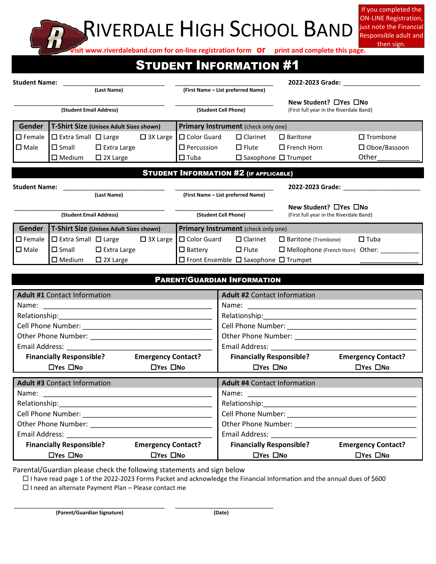## RIVERDALE HIGH SCHOOL BAND

If you completed the ON-LINE Registration, just note the Financial Responsible adult and then sign.

**Visit www.riverdaleband.com for on-line registration form or print and complete this page.**

## STUDENT INFORMATION #1

| <b>Student Name:</b>    |                                               |                                         |                 |                                                       | 2022-2023 Grade:                |                                                                  |                        |
|-------------------------|-----------------------------------------------|-----------------------------------------|-----------------|-------------------------------------------------------|---------------------------------|------------------------------------------------------------------|------------------------|
| (Last Name)             |                                               |                                         |                 | (First Name - List preferred Name)                    |                                 |                                                                  |                        |
| (Student Email Address) |                                               |                                         |                 | (Student Cell Phone)                                  |                                 | New Student? □Yes □No<br>(First full year in the Riverdale Band) |                        |
| Gender                  |                                               | T-Shirt Size (Unisex Adult Sizes shown) |                 | Primary Instrument (check only one)                   |                                 |                                                                  |                        |
| $\Box$ Female           |                                               | $\Box$ Extra Small $\Box$ Large         | $\Box$ 3X Large | $\Box$ Color Guard                                    | $\Box$ Clarinet                 | $\Box$ Baritone                                                  | $\square$ Trombone     |
| $\square$ Male          |                                               | $\Box$ Small $\Box$ Extra Large         |                 | $\Box$ Percussion                                     |                                 | $\square$ Flute $\square$ French Horn                            | $\square$ Oboe/Bassoon |
|                         | $\square$ Medium                              | $\Box$ 2X Large                         |                 | $\square$ Tuba                                        | $\Box$ Saxophone $\Box$ Trumpet |                                                                  | Other                  |
|                         | <b>STUDENT INFORMATION #2 (IF APPLICABLE)</b> |                                         |                 |                                                       |                                 |                                                                  |                        |
| <b>Student Name:</b>    |                                               |                                         |                 |                                                       |                                 | 2022-2023 Grade:                                                 |                        |
|                         |                                               | (Last Name)                             |                 | (First Name - List preferred Name)                    |                                 |                                                                  |                        |
| (Student Email Address) |                                               |                                         |                 | (Student Cell Phone)                                  |                                 | New Student? □Yes □No<br>(First full year in the Riverdale Band) |                        |
| Gender                  |                                               | T-Shirt Size (Unisex Adult Sizes shown) |                 | Primary Instrument (check only one)                   |                                 |                                                                  |                        |
| $\square$ Female        | $\Box$ Extra Small $\Box$ Large               |                                         | $\Box$ 3X Large | $\Box$ Color Guard                                    | $\square$ Clarinet              | $\Box$ Baritone (Trombone)                                       | $\Box$ Tuba            |
| $\square$ Male          |                                               | $\Box$ Small $\Box$ Extra Large         |                 | $\Box$ Battery $\Box$ Flute                           |                                 | $\Box$ Mellophone (French Horn) Other:                           |                        |
|                         | $\square$ Medium                              | $\Box$ 2X Large                         |                 | $\Box$ Front Ensemble $\Box$ Saxophone $\Box$ Trumpet |                                 |                                                                  |                        |

| <b>PARENT/GUARDIAN INFORMATION</b>                 |                           |                                     |                           |  |  |
|----------------------------------------------------|---------------------------|-------------------------------------|---------------------------|--|--|
| <b>Adult #1 Contact Information</b>                |                           | <b>Adult #2 Contact Information</b> |                           |  |  |
|                                                    |                           |                                     |                           |  |  |
|                                                    |                           |                                     |                           |  |  |
|                                                    |                           |                                     |                           |  |  |
|                                                    |                           |                                     |                           |  |  |
|                                                    |                           |                                     |                           |  |  |
| <b>Financially Responsible?</b>                    | <b>Emergency Contact?</b> | <b>Financially Responsible?</b>     | <b>Emergency Contact?</b> |  |  |
| $\Box$ Yes $\Box$ No                               | $\Box$ Yes $\Box$ No      | $\Box$ Yes $\Box$ No                | $\Box$ Yes $\Box$ No      |  |  |
| <b>Adult #3 Contact Information</b>                |                           | <b>Adult #4 Contact Information</b> |                           |  |  |
|                                                    |                           |                                     |                           |  |  |
|                                                    |                           |                                     |                           |  |  |
|                                                    |                           |                                     |                           |  |  |
|                                                    |                           |                                     |                           |  |  |
|                                                    |                           |                                     |                           |  |  |
| <b>Financially Responsible?</b> Emergency Contact? |                           | <b>Financially Responsible?</b>     | <b>Emergency Contact?</b> |  |  |
| $\Box$ Yes $\Box$ No                               | $\Box$ Yes $\Box$ No      | $\Box$ Yes $\Box$ No                | $\Box$ Yes $\Box$ No      |  |  |

Parental/Guardian please check the following statements and sign below

I have read page 1 of the 2022-2023 Forms Packet and acknowledge the Financial Information and the annual dues of \$600

 $\Box$  I need an alternate Payment Plan – Please contact me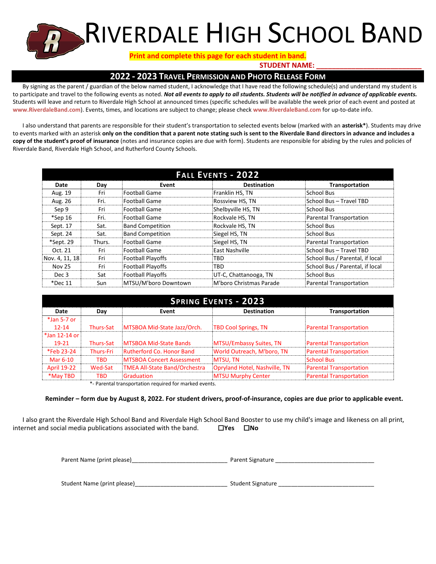## RIVERDALE HIGH SCHOOL BAND

### **Print and complete this page for each student in band.**

**STUDENT NAME:** 

## **2022 - 2023 TRAVEL PERMISSION AND PHOTO RELEASE FORM**

By signing as the parent / guardian of the below named student, I acknowledge that I have read the following schedule(s) and understand my student is to participate and travel to the following events as noted. *Not all events to apply to all students. Students will be notified in advance of applicable events.* Students will leave and return to Riverdale High School at announced times (specific schedules will be available the week prior of each event and posted at **www.RiverdaleBand.com**). Events, times, and locations are subject to change; please check **www.RiverdaleBand.com** for up-to-date info.

I also understand that parents are responsible for their student's transportation to selected events below (marked with an **asterisk\***). Students may drive to events marked with an asterisk **only on the condition that a parent note stating such is sent to the Riverdale Band directors in advance and includes a copy of the student's proof of insurance** (notes and insurance copies are due with form). Students are responsible for abiding by the rules and policies of Riverdale Band, Riverdale High School, and Rutherford County Schools.

| <b>FALL EVENTS - 2022</b> |        |                          |                         |                                 |  |
|---------------------------|--------|--------------------------|-------------------------|---------------------------------|--|
| Date                      | Day    | Event                    | <b>Destination</b>      | Transportation                  |  |
| Aug. 19                   | Fri    | Football Game            | Franklin HS, TN         | School Bus                      |  |
| Aug. 26                   | Fri.   | <b>Football Game</b>     | Rossview HS, TN         | School Bus - Travel TBD         |  |
| Sep 9                     | Fri    | <b>Football Game</b>     | Shelbyville HS, TN      | <b>School Bus</b>               |  |
| $*$ Sep 16                | Fri.   | Football Game            | Rockvale HS, TN         | Parental Transportation         |  |
| Sept. 17                  | Sat.   | <b>Band Competition</b>  | Rockvale HS, TN         | School Bus                      |  |
| Sept. 24                  | Sat.   | <b>Band Competition</b>  | Siegel HS, TN           | School Bus                      |  |
| *Sept. 29                 | Thurs. | <b>Football Game</b>     | Siegel HS, TN           | Parental Transportation         |  |
| Oct. 21                   | Fri    | Football Game            | East Nashville          | School Bus - Travel TBD         |  |
| Nov. 4, 11, 18            | Fri    | Football Playoffs        | TBD                     | School Bus / Parental, if local |  |
| <b>Nov 25</b>             | Fri    | <b>Football Playoffs</b> | TBD                     | School Bus / Parental, if local |  |
| Dec 3                     | Sat    | <b>Football Playoffs</b> | UT-C, Chattanooga, TN   | <b>School Bus</b>               |  |
| $*$ Dec 11                | Sun    | MTSU/M'boro Downtown     | M'boro Christmas Parade | Parental Transportation         |  |

| <b>SPRING EVENTS - 2023</b> |                  |                                      |                               |                                |  |
|-----------------------------|------------------|--------------------------------------|-------------------------------|--------------------------------|--|
| Date                        | Day              | Event                                | <b>Destination</b>            | <b>Transportation</b>          |  |
| $*$ Jan 5-7 or              |                  |                                      |                               |                                |  |
| $12 - 14$                   | <b>Thurs-Sat</b> | MTSBOA Mid-State Jazz/Orch.          | <b>TBD Cool Springs, TN</b>   | <b>Parental Transportation</b> |  |
| *Jan 12-14 or               |                  |                                      |                               |                                |  |
| $19-21$                     | <b>Thurs-Sat</b> | MTSBOA Mid-State Bands               | MTSU/Embassy Suites, TN       | <b>Parental Transportation</b> |  |
| *Feb 23-24                  | <b>Thurs-Fri</b> | Rutherford Co. Honor Band            | World Outreach, M'boro, TN    | <b>Parental Transportation</b> |  |
| Mar 6-10                    | <b>TBD</b>       | <b>MTSBOA Concert Assessment</b>     | MTSU, TN                      | <b>School Bus</b>              |  |
| <b>April 19-22</b>          | Wed-Sat          | <b>TMEA All-State Band/Orchestra</b> | Opryland Hotel, Nashville, TN | <b>Parental Transportation</b> |  |
| *May TBD                    | <b>TBD</b>       | Graduation                           | <b>MTSU Murphy Center</b>     | <b>Parental Transportation</b> |  |

\*- Parental transportation required for marked events.

#### **Reminder – form due by August 8, 2022. For student drivers, proof-of-insurance, copies are due prior to applicable event.**

I also grant the Riverdale High School Band and Riverdale High School Band Booster to use my child's image and likeness on all print, internet and social media publications associated with the band. **No No** 

| Parent Name (print please) | Parent Signature |
|----------------------------|------------------|
|----------------------------|------------------|

Student Name (print please)\_\_\_\_\_\_\_\_\_\_\_\_\_\_\_\_\_\_\_\_\_\_\_\_\_\_\_\_\_ Student Signature \_\_\_\_\_\_\_\_\_\_\_\_\_\_\_\_\_\_\_\_\_\_\_\_\_\_\_\_\_\_